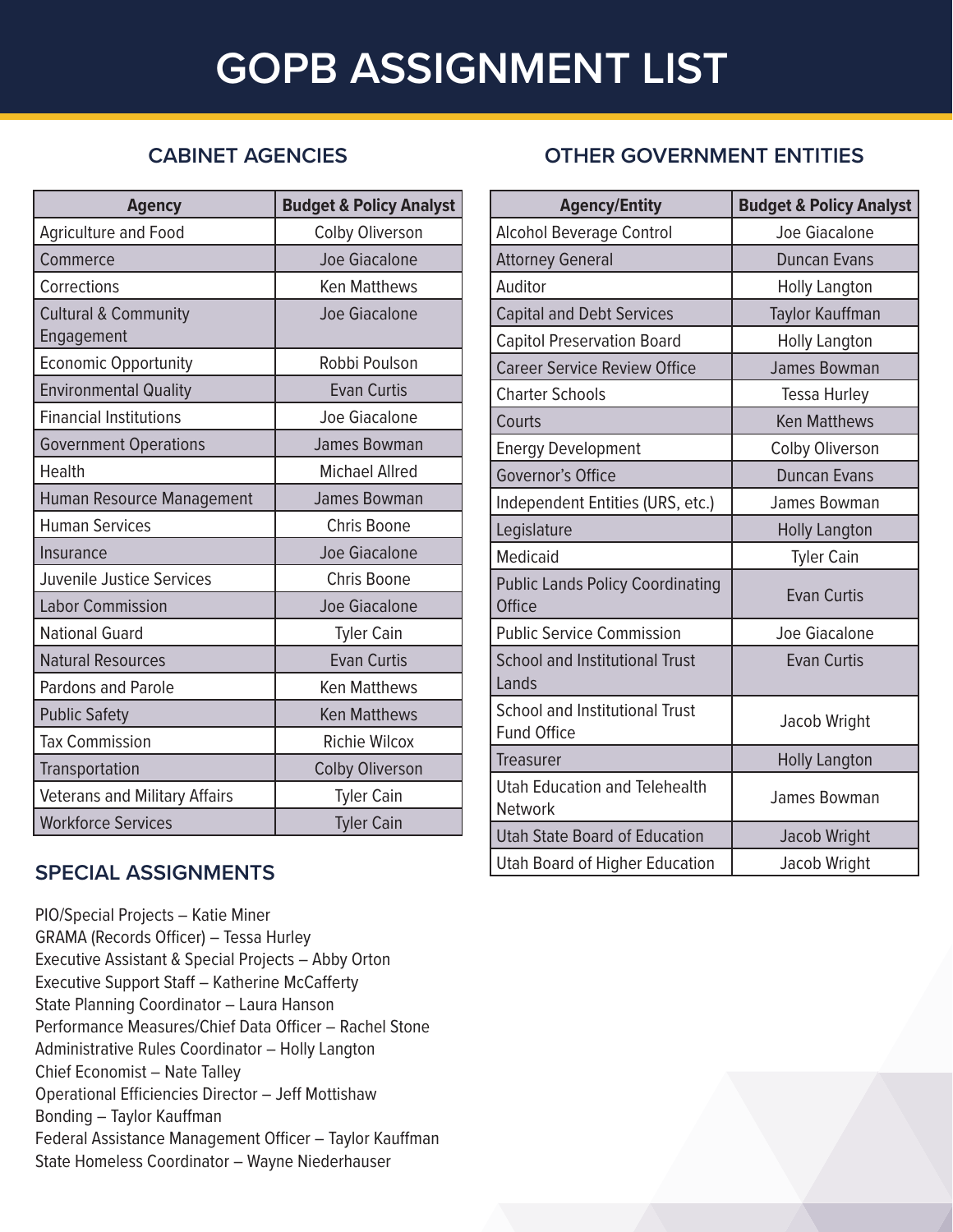# **GOPB ASSIGNMENT LIST**

## **CABINET AGENCIES**

| <b>Agency</b>                                 | <b>Budget &amp; Policy Analyst</b> |
|-----------------------------------------------|------------------------------------|
| <b>Agriculture and Food</b>                   | Colby Oliverson                    |
| Commerce                                      | Joe Giacalone                      |
| Corrections                                   | <b>Ken Matthews</b>                |
| <b>Cultural &amp; Community</b><br>Engagement | Joe Giacalone                      |
| <b>Economic Opportunity</b>                   | Robbi Poulson                      |
| <b>Environmental Quality</b>                  | <b>Evan Curtis</b>                 |
| <b>Financial Institutions</b>                 | Joe Giacalone                      |
| <b>Government Operations</b>                  | <b>James Bowman</b>                |
| Health                                        | <b>Michael Allred</b>              |
| Human Resource Management                     | <b>James Bowman</b>                |
| <b>Human Services</b>                         | <b>Chris Boone</b>                 |
| Insurance                                     | <b>Joe Giacalone</b>               |
| Juvenile Justice Services                     | Chris Boone                        |
| <b>Labor Commission</b>                       | Joe Giacalone                      |
| <b>National Guard</b>                         | <b>Tyler Cain</b>                  |
| <b>Natural Resources</b>                      | <b>Evan Curtis</b>                 |
| Pardons and Parole                            | <b>Ken Matthews</b>                |
| <b>Public Safety</b>                          | <b>Ken Matthews</b>                |
| <b>Tax Commission</b>                         | <b>Richie Wilcox</b>               |
| Transportation                                | <b>Colby Oliverson</b>             |
| <b>Veterans and Military Affairs</b>          | <b>Tyler Cain</b>                  |
| <b>Workforce Services</b>                     | <b>Tyler Cain</b>                  |

### **SPECIAL ASSIGNMENTS**

PIO/Special Projects – Katie Miner GRAMA (Records Officer) – Tessa Hurley Executive Assistant & Special Projects – Abby Orton Executive Support Staff – Katherine McCafferty State Planning Coordinator – Laura Hanson Performance Measures/Chief Data Officer – Rachel Stone Administrative Rules Coordinator – Holly Langton Chief Economist – Nate Talley Operational Efficiencies Director – Jeff Mottishaw Bonding – Taylor Kauffman Federal Assistance Management Officer – Taylor Kauffman State Homeless Coordinator – Wayne Niederhauser

# **OTHER GOVERNMENT ENTITIES**

| <b>Agency/Entity</b>                                        | <b>Budget &amp; Policy Analyst</b> |
|-------------------------------------------------------------|------------------------------------|
| <b>Alcohol Beverage Control</b>                             | Joe Giacalone                      |
| <b>Attorney General</b>                                     | <b>Duncan Evans</b>                |
| Auditor                                                     | <b>Holly Langton</b>               |
| <b>Capital and Debt Services</b>                            | Taylor Kauffman                    |
| <b>Capitol Preservation Board</b>                           | <b>Holly Langton</b>               |
| <b>Career Service Review Office</b>                         | James Bowman                       |
| <b>Charter Schools</b>                                      | Tessa Hurley                       |
| Courts                                                      | <b>Ken Matthews</b>                |
| <b>Energy Development</b>                                   | <b>Colby Oliverson</b>             |
| Governor's Office                                           | <b>Duncan Evans</b>                |
| Independent Entities (URS, etc.)                            | James Bowman                       |
| Legislature                                                 | <b>Holly Langton</b>               |
| <b>Medicaid</b>                                             | <b>Tyler Cain</b>                  |
| <b>Public Lands Policy Coordinating</b><br><b>Office</b>    | <b>Evan Curtis</b>                 |
| <b>Public Service Commission</b>                            | Joe Giacalone                      |
| <b>School and Institutional Trust</b><br>Lands              | <b>Evan Curtis</b>                 |
| <b>School and Institutional Trust</b><br><b>Fund Office</b> | Jacob Wright                       |
| <b>Treasurer</b>                                            | <b>Holly Langton</b>               |
| <b>Utah Education and Telehealth</b><br><b>Network</b>      | James Bowman                       |
| <b>Utah State Board of Education</b>                        | <b>Jacob Wright</b>                |
| <b>Utah Board of Higher Education</b>                       | Jacob Wright                       |